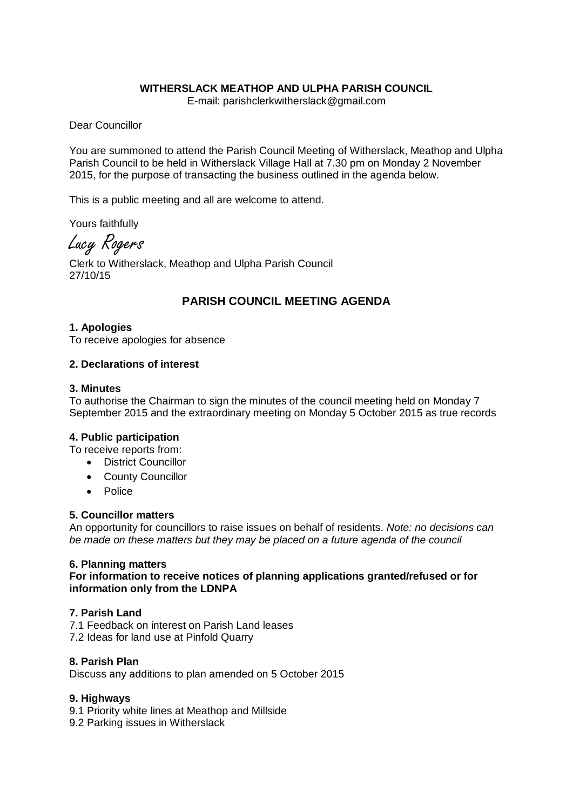### **WITHERSLACK MEATHOP AND ULPHA PARISH COUNCIL**

E-mail: parishclerkwitherslack@gmail.com

Dear Councillor

You are summoned to attend the Parish Council Meeting of Witherslack, Meathop and Ulpha Parish Council to be held in Witherslack Village Hall at 7.30 pm on Monday 2 November 2015, for the purpose of transacting the business outlined in the agenda below.

This is a public meeting and all are welcome to attend.

Yours faithfully

Lucy Rogers

Clerk to Witherslack, Meathop and Ulpha Parish Council 27/10/15

# **PARISH COUNCIL MEETING AGENDA**

#### **1. Apologies**

To receive apologies for absence

#### **2. Declarations of interest**

#### **3. Minutes**

To authorise the Chairman to sign the minutes of the council meeting held on Monday 7 September 2015 and the extraordinary meeting on Monday 5 October 2015 as true records

#### **4. Public participation**

To receive reports from:

- District Councillor
- County Councillor
- Police

#### **5. Councillor matters**

An opportunity for councillors to raise issues on behalf of residents. *Note: no decisions can be made on these matters but they may be placed on a future agenda of the council*

#### **6. Planning matters**

**For information to receive notices of planning applications granted/refused or for information only from the LDNPA** 

#### **7. Parish Land**

7.1 Feedback on interest on Parish Land leases 7.2 Ideas for land use at Pinfold Quarry

### **8. Parish Plan**

Discuss any additions to plan amended on 5 October 2015

### **9. Highways**

- 9.1 Priority white lines at Meathop and Millside
- 9.2 Parking issues in Witherslack